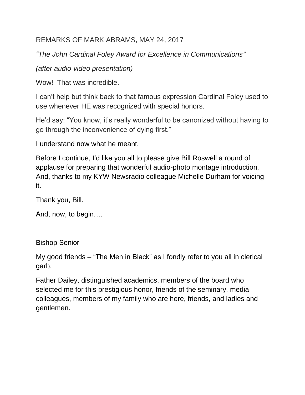## REMARKS OF MARK ABRAMS, MAY 24, 2017

*"The John Cardinal Foley Award for Excellence in Communications"*

*(after audio-video presentation)*

Wow! That was incredible.

I can't help but think back to that famous expression Cardinal Foley used to use whenever HE was recognized with special honors.

He'd say: "You know, it's really wonderful to be canonized without having to go through the inconvenience of dying first."

I understand now what he meant.

Before I continue, I'd like you all to please give Bill Roswell a round of applause for preparing that wonderful audio-photo montage introduction. And, thanks to my KYW Newsradio colleague Michelle Durham for voicing it.

Thank you, Bill.

And, now, to begin….

Bishop Senior

My good friends – "The Men in Black" as I fondly refer to you all in clerical garb.

Father Dailey, distinguished academics, members of the board who selected me for this prestigious honor, friends of the seminary, media colleagues, members of my family who are here, friends, and ladies and gentlemen.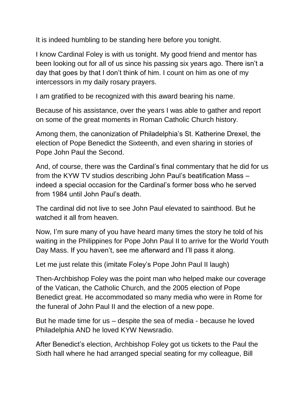It is indeed humbling to be standing here before you tonight.

I know Cardinal Foley is with us tonight. My good friend and mentor has been looking out for all of us since his passing six years ago. There isn't a day that goes by that I don't think of him. I count on him as one of my intercessors in my daily rosary prayers.

I am gratified to be recognized with this award bearing his name.

Because of his assistance, over the years I was able to gather and report on some of the great moments in Roman Catholic Church history.

Among them, the canonization of Philadelphia's St. Katherine Drexel, the election of Pope Benedict the Sixteenth, and even sharing in stories of Pope John Paul the Second.

And, of course, there was the Cardinal's final commentary that he did for us from the KYW TV studios describing John Paul's beatification Mass – indeed a special occasion for the Cardinal's former boss who he served from 1984 until John Paul's death.

The cardinal did not live to see John Paul elevated to sainthood. But he watched it all from heaven.

Now, I'm sure many of you have heard many times the story he told of his waiting in the Philippines for Pope John Paul II to arrive for the World Youth Day Mass. If you haven't, see me afterward and I'll pass it along.

Let me just relate this (imitate Foley's Pope John Paul II laugh)

Then-Archbishop Foley was the point man who helped make our coverage of the Vatican, the Catholic Church, and the 2005 election of Pope Benedict great. He accommodated so many media who were in Rome for the funeral of John Paul II and the election of a new pope.

But he made time for us – despite the sea of media - because he loved Philadelphia AND he loved KYW Newsradio.

After Benedict's election, Archbishop Foley got us tickets to the Paul the Sixth hall where he had arranged special seating for my colleague, Bill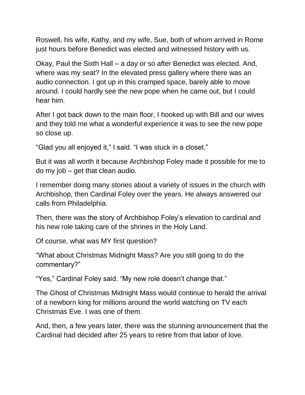Roswell, his wife, Kathy, and my wife, Sue, both of whom arrived in Rome just hours before Benedict was elected and witnessed history with us.

Okay, Paul the Sixth Hall – a day or so after Benedict was elected. And, where was my seat? In the elevated press gallery where there was an audio connection. I got up in this cramped space, barely able to move around. I could hardly see the new pope when he came out, but I could hear him.

After I got back down to the main floor, I hooked up with Bill and our wives and they told me what a wonderful experience it was to see the new pope so close up.

"Glad you all enjoyed it," I said. "I was stuck in a closet."

But it was all worth it because Archbishop Foley made it possible for me to do my job – get that clean audio.

I remember doing many stories about a variety of issues in the church with Archbishop, then Cardinal Foley over the years. He always answered our calls from Philadelphia.

Then, there was the story of Archbishop Foley's elevation to cardinal and his new role taking care of the shrines in the Holy Land.

Of course, what was MY first question?

"What about Christmas Midnight Mass? Are you still going to do the commentary?"

"Yes," Cardinal Foley said. "My new role doesn't change that."

The Ghost of Christmas Midnight Mass would continue to herald the arrival of a newborn king for millions around the world watching on TV each Christmas Eve. I was one of them.

And, then, a few years later, there was the stunning announcement that the Cardinal had decided after 25 years to retire from that labor of love.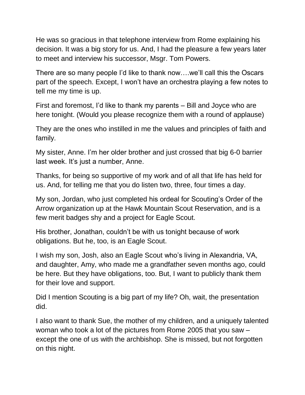He was so gracious in that telephone interview from Rome explaining his decision. It was a big story for us. And, I had the pleasure a few years later to meet and interview his successor, Msgr. Tom Powers.

There are so many people I'd like to thank now….we'll call this the Oscars part of the speech. Except, I won't have an orchestra playing a few notes to tell me my time is up.

First and foremost, I'd like to thank my parents – Bill and Joyce who are here tonight. (Would you please recognize them with a round of applause)

They are the ones who instilled in me the values and principles of faith and family.

My sister, Anne. I'm her older brother and just crossed that big 6-0 barrier last week. It's just a number, Anne.

Thanks, for being so supportive of my work and of all that life has held for us. And, for telling me that you do listen two, three, four times a day.

My son, Jordan, who just completed his ordeal for Scouting's Order of the Arrow organization up at the Hawk Mountain Scout Reservation, and is a few merit badges shy and a project for Eagle Scout.

His brother, Jonathan, couldn't be with us tonight because of work obligations. But he, too, is an Eagle Scout.

I wish my son, Josh, also an Eagle Scout who's living in Alexandria, VA, and daughter, Amy, who made me a grandfather seven months ago, could be here. But they have obligations, too. But, I want to publicly thank them for their love and support.

Did I mention Scouting is a big part of my life? Oh, wait, the presentation did.

I also want to thank Sue, the mother of my children, and a uniquely talented woman who took a lot of the pictures from Rome 2005 that you saw – except the one of us with the archbishop. She is missed, but not forgotten on this night.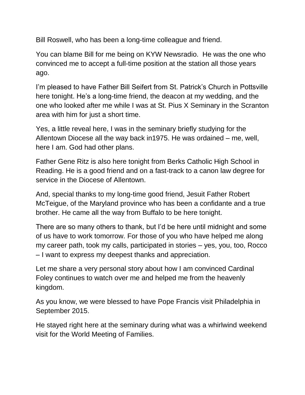Bill Roswell, who has been a long-time colleague and friend.

You can blame Bill for me being on KYW Newsradio. He was the one who convinced me to accept a full-time position at the station all those years ago.

I'm pleased to have Father Bill Seifert from St. Patrick's Church in Pottsville here tonight. He's a long-time friend, the deacon at my wedding, and the one who looked after me while I was at St. Pius X Seminary in the Scranton area with him for just a short time.

Yes, a little reveal here, I was in the seminary briefly studying for the Allentown Diocese all the way back in1975. He was ordained – me, well, here I am. God had other plans.

Father Gene Ritz is also here tonight from Berks Catholic High School in Reading. He is a good friend and on a fast-track to a canon law degree for service in the Diocese of Allentown.

And, special thanks to my long-time good friend, Jesuit Father Robert McTeigue, of the Maryland province who has been a confidante and a true brother. He came all the way from Buffalo to be here tonight.

There are so many others to thank, but I'd be here until midnight and some of us have to work tomorrow. For those of you who have helped me along my career path, took my calls, participated in stories – yes, you, too, Rocco – I want to express my deepest thanks and appreciation.

Let me share a very personal story about how I am convinced Cardinal Foley continues to watch over me and helped me from the heavenly kingdom.

As you know, we were blessed to have Pope Francis visit Philadelphia in September 2015.

He stayed right here at the seminary during what was a whirlwind weekend visit for the World Meeting of Families.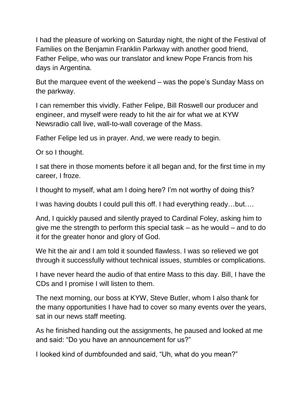I had the pleasure of working on Saturday night, the night of the Festival of Families on the Benjamin Franklin Parkway with another good friend, Father Felipe, who was our translator and knew Pope Francis from his days in Argentina.

But the marquee event of the weekend – was the pope's Sunday Mass on the parkway.

I can remember this vividly. Father Felipe, Bill Roswell our producer and engineer, and myself were ready to hit the air for what we at KYW Newsradio call live, wall-to-wall coverage of the Mass.

Father Felipe led us in prayer. And, we were ready to begin.

Or so I thought.

I sat there in those moments before it all began and, for the first time in my career, I froze.

I thought to myself, what am I doing here? I'm not worthy of doing this?

I was having doubts I could pull this off. I had everything ready…but….

And, I quickly paused and silently prayed to Cardinal Foley, asking him to give me the strength to perform this special task – as he would – and to do it for the greater honor and glory of God.

We hit the air and I am told it sounded flawless. I was so relieved we got through it successfully without technical issues, stumbles or complications.

I have never heard the audio of that entire Mass to this day. Bill, I have the CDs and I promise I will listen to them.

The next morning, our boss at KYW, Steve Butler, whom I also thank for the many opportunities I have had to cover so many events over the years, sat in our news staff meeting.

As he finished handing out the assignments, he paused and looked at me and said: "Do you have an announcement for us?"

I looked kind of dumbfounded and said, "Uh, what do you mean?"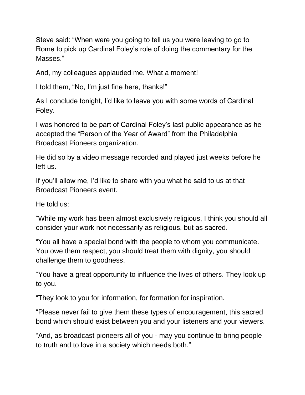Steve said: "When were you going to tell us you were leaving to go to Rome to pick up Cardinal Foley's role of doing the commentary for the Masses."

And, my colleagues applauded me. What a moment!

I told them, "No, I'm just fine here, thanks!"

As I conclude tonight, I'd like to leave you with some words of Cardinal Foley.

I was honored to be part of Cardinal Foley's last public appearance as he accepted the "Person of the Year of Award" from the Philadelphia Broadcast Pioneers organization.

He did so by a video message recorded and played just weeks before he left us.

If you'll allow me, I'd like to share with you what he said to us at that Broadcast Pioneers event.

He told us:

"While my work has been almost exclusively religious, I think you should all consider your work not necessarily as religious, but as sacred.

"You all have a special bond with the people to whom you communicate. You owe them respect, you should treat them with dignity, you should challenge them to goodness.

"You have a great opportunity to influence the lives of others. They look up to you.

"They look to you for information, for formation for inspiration.

"Please never fail to give them these types of encouragement, this sacred bond which should exist between you and your listeners and your viewers.

"And, as broadcast pioneers all of you - may you continue to bring people to truth and to love in a society which needs both."